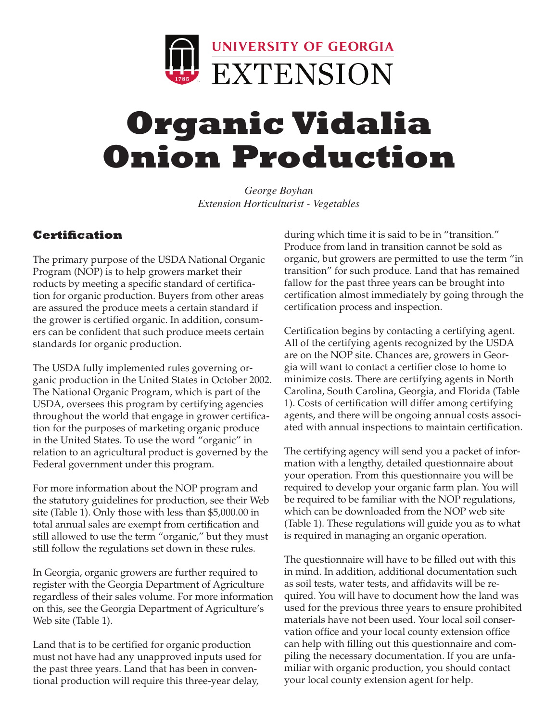

# **Organic Vidalia Onion Production**

*George Boyhan Extension Horticulturist - Vegetables*

#### **Certification**

The primary purpose of the USDA National Organic Program (NOP) is to help growers market their roducts by meeting a specific standard of certification for organic production. Buyers from other areas are assured the produce meets a certain standard if the grower is certified organic. In addition, consumers can be confident that such produce meets certain standards for organic production.

The USDA fully implemented rules governing organic production in the United States in October 2002. The National Organic Program, which is part of the USDA, oversees this program by certifying agencies throughout the world that engage in grower certification for the purposes of marketing organic produce in the United States. To use the word "organic" in relation to an agricultural product is governed by the Federal government under this program.

For more information about the NOP program and the statutory guidelines for production, see their Web site (Table 1). Only those with less than \$5,000.00 in total annual sales are exempt from certification and still allowed to use the term "organic," but they must still follow the regulations set down in these rules.

In Georgia, organic growers are further required to register with the Georgia Department of Agriculture regardless of their sales volume. For more information on this, see the Georgia Department of Agriculture's Web site (Table 1).

Land that is to be certified for organic production must not have had any unapproved inputs used for the past three years. Land that has been in conventional production will require this three-year delay,

during which time it is said to be in "transition." Produce from land in transition cannot be sold as organic, but growers are permitted to use the term "in transition" for such produce. Land that has remained fallow for the past three years can be brought into certification almost immediately by going through the certification process and inspection.

Certification begins by contacting a certifying agent. All of the certifying agents recognized by the USDA are on the NOP site. Chances are, growers in Georgia will want to contact a certifier close to home to minimize costs. There are certifying agents in North Carolina, South Carolina, Georgia, and Florida (Table 1). Costs of certification will differ among certifying agents, and there will be ongoing annual costs associated with annual inspections to maintain certification.

The certifying agency will send you a packet of information with a lengthy, detailed questionnaire about your operation. From this questionnaire you will be required to develop your organic farm plan. You will be required to be familiar with the NOP regulations, which can be downloaded from the NOP web site (Table 1). These regulations will guide you as to what is required in managing an organic operation.

The questionnaire will have to be filled out with this in mind. In addition, additional documentation such as soil tests, water tests, and affidavits will be required. You will have to document how the land was used for the previous three years to ensure prohibited materials have not been used. Your local soil conservation office and your local county extension office can help with filling out this questionnaire and compiling the necessary documentation. If you are unfamiliar with organic production, you should contact your local county extension agent for help.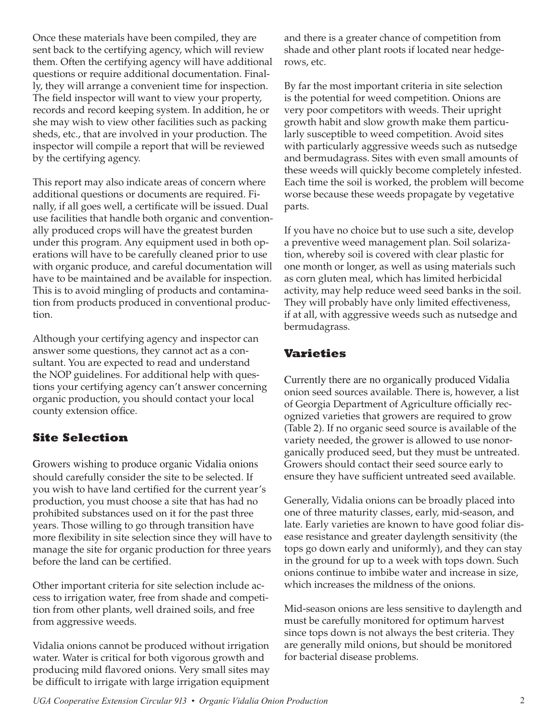Once these materials have been compiled, they are sent back to the certifying agency, which will review them. Often the certifying agency will have additional questions or require additional documentation. Finally, they will arrange a convenient time for inspection. The field inspector will want to view your property, records and record keeping system. In addition, he or she may wish to view other facilities such as packing sheds, etc., that are involved in your production. The inspector will compile a report that will be reviewed by the certifying agency.

This report may also indicate areas of concern where additional questions or documents are required. Finally, if all goes well, a certificate will be issued. Dual use facilities that handle both organic and conventionally produced crops will have the greatest burden under this program. Any equipment used in both operations will have to be carefully cleaned prior to use with organic produce, and careful documentation will have to be maintained and be available for inspection. This is to avoid mingling of products and contamination from products produced in conventional production.

Although your certifying agency and inspector can answer some questions, they cannot act as a consultant. You are expected to read and understand the NOP guidelines. For additional help with questions your certifying agency can't answer concerning organic production, you should contact your local county extension office.

#### **Site Selection**

Growers wishing to produce organic Vidalia onions should carefully consider the site to be selected. If you wish to have land certified for the current year's production, you must choose a site that has had no prohibited substances used on it for the past three years. Those willing to go through transition have more flexibility in site selection since they will have to manage the site for organic production for three years before the land can be certified.

Other important criteria for site selection include access to irrigation water, free from shade and competition from other plants, well drained soils, and free from aggressive weeds.

Vidalia onions cannot be produced without irrigation water. Water is critical for both vigorous growth and producing mild flavored onions. Very small sites may be difficult to irrigate with large irrigation equipment and there is a greater chance of competition from shade and other plant roots if located near hedgerows, etc.

By far the most important criteria in site selection is the potential for weed competition. Onions are very poor competitors with weeds. Their upright growth habit and slow growth make them particularly susceptible to weed competition. Avoid sites with particularly aggressive weeds such as nutsedge and bermudagrass. Sites with even small amounts of these weeds will quickly become completely infested. Each time the soil is worked, the problem will become worse because these weeds propagate by vegetative parts.

If you have no choice but to use such a site, develop a preventive weed management plan. Soil solarization, whereby soil is covered with clear plastic for one month or longer, as well as using materials such as corn gluten meal, which has limited herbicidal activity, may help reduce weed seed banks in the soil. They will probably have only limited effectiveness, if at all, with aggressive weeds such as nutsedge and bermudagrass.

#### **Varieties**

Currently there are no organically produced Vidalia onion seed sources available. There is, however, a list of Georgia Department of Agriculture officially recognized varieties that growers are required to grow (Table 2). If no organic seed source is available of the variety needed, the grower is allowed to use nonorganically produced seed, but they must be untreated. Growers should contact their seed source early to ensure they have sufficient untreated seed available.

Generally, Vidalia onions can be broadly placed into one of three maturity classes, early, mid-season, and late. Early varieties are known to have good foliar disease resistance and greater daylength sensitivity (the tops go down early and uniformly), and they can stay in the ground for up to a week with tops down. Such onions continue to imbibe water and increase in size, which increases the mildness of the onions.

Mid-season onions are less sensitive to daylength and must be carefully monitored for optimum harvest since tops down is not always the best criteria. They are generally mild onions, but should be monitored for bacterial disease problems.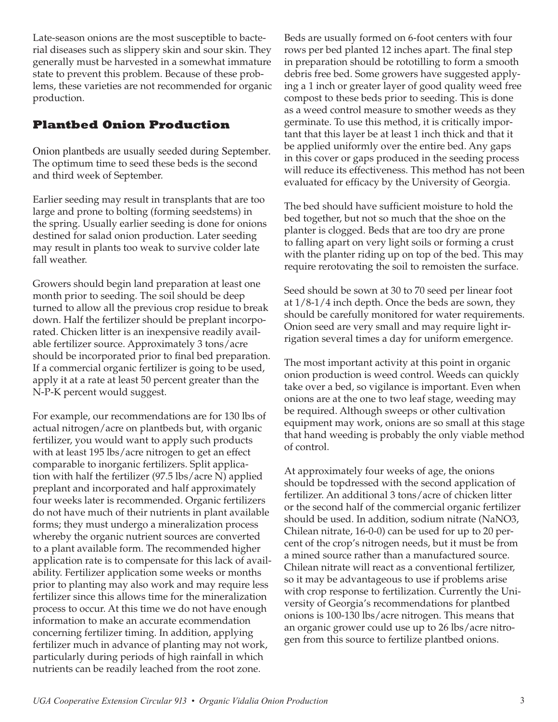Late-season onions are the most susceptible to bacterial diseases such as slippery skin and sour skin. They generally must be harvested in a somewhat immature state to prevent this problem. Because of these problems, these varieties are not recommended for organic production.

#### **Plantbed Onion Production**

Onion plantbeds are usually seeded during September. The optimum time to seed these beds is the second and third week of September.

Earlier seeding may result in transplants that are too large and prone to bolting (forming seedstems) in the spring. Usually earlier seeding is done for onions destined for salad onion production. Later seeding may result in plants too weak to survive colder late fall weather.

Growers should begin land preparation at least one month prior to seeding. The soil should be deep turned to allow all the previous crop residue to break down. Half the fertilizer should be preplant incorporated. Chicken litter is an inexpensive readily available fertilizer source. Approximately 3 tons/acre should be incorporated prior to final bed preparation. If a commercial organic fertilizer is going to be used, apply it at a rate at least 50 percent greater than the N-P-K percent would suggest.

For example, our recommendations are for 130 lbs of actual nitrogen/acre on plantbeds but, with organic fertilizer, you would want to apply such products with at least 195 lbs/acre nitrogen to get an effect comparable to inorganic fertilizers. Split application with half the fertilizer (97.5 lbs/acre N) applied preplant and incorporated and half approximately four weeks later is recommended. Organic fertilizers do not have much of their nutrients in plant available forms; they must undergo a mineralization process whereby the organic nutrient sources are converted to a plant available form. The recommended higher application rate is to compensate for this lack of availability. Fertilizer application some weeks or months prior to planting may also work and may require less fertilizer since this allows time for the mineralization process to occur. At this time we do not have enough information to make an accurate ecommendation concerning fertilizer timing. In addition, applying fertilizer much in advance of planting may not work, particularly during periods of high rainfall in which nutrients can be readily leached from the root zone.

Beds are usually formed on 6-foot centers with four rows per bed planted 12 inches apart. The final step in preparation should be rototilling to form a smooth debris free bed. Some growers have suggested applying a 1 inch or greater layer of good quality weed free compost to these beds prior to seeding. This is done as a weed control measure to smother weeds as they germinate. To use this method, it is critically important that this layer be at least 1 inch thick and that it be applied uniformly over the entire bed. Any gaps in this cover or gaps produced in the seeding process will reduce its effectiveness. This method has not been evaluated for efficacy by the University of Georgia.

The bed should have sufficient moisture to hold the bed together, but not so much that the shoe on the planter is clogged. Beds that are too dry are prone to falling apart on very light soils or forming a crust with the planter riding up on top of the bed. This may require rerotovating the soil to remoisten the surface.

Seed should be sown at 30 to 70 seed per linear foot at 1/8-1/4 inch depth. Once the beds are sown, they should be carefully monitored for water requirements. Onion seed are very small and may require light irrigation several times a day for uniform emergence.

The most important activity at this point in organic onion production is weed control. Weeds can quickly take over a bed, so vigilance is important. Even when onions are at the one to two leaf stage, weeding may be required. Although sweeps or other cultivation equipment may work, onions are so small at this stage that hand weeding is probably the only viable method of control.

At approximately four weeks of age, the onions should be topdressed with the second application of fertilizer. An additional 3 tons/acre of chicken litter or the second half of the commercial organic fertilizer should be used. In addition, sodium nitrate (NaNO3, Chilean nitrate, 16-0-0) can be used for up to 20 percent of the crop's nitrogen needs, but it must be from a mined source rather than a manufactured source. Chilean nitrate will react as a conventional fertilizer, so it may be advantageous to use if problems arise with crop response to fertilization. Currently the University of Georgia's recommendations for plantbed onions is 100-130 lbs/acre nitrogen. This means that an organic grower could use up to 26 lbs/acre nitrogen from this source to fertilize plantbed onions.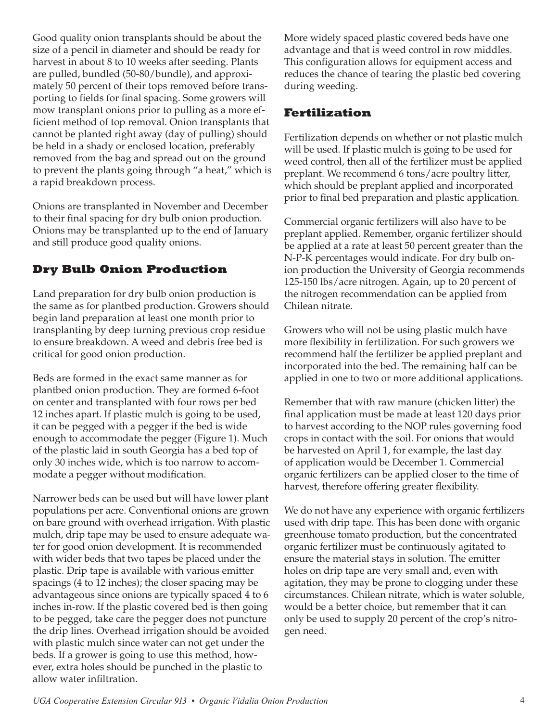Good quality onion transplants should be about the size of a pencil in diameter and should be ready for harvest in about 8 to 10 weeks after seeding. Plants are pulled, bundled (50-80/bundle), and approximately 50 percent of their tops removed before transporting to fields for final spacing. Some growers will mow transplant onions prior to pulling as a more efficient method of top removal. Onion transplants that cannot be planted right away (day of pulling) should be held in a shady or enclosed location, preferably removed from the bag and spread out on the ground to prevent the plants going through "a heat," which is a rapid breakdown process.

Onions are transplanted in November and December to their final spacing for dry bulb onion production. Onions may be transplanted up to the end of January and still produce good quality onions.

#### **Dry Bulb Onion Production**

Land preparation for dry bulb onion production is the same as for plantbed production. Growers should begin land preparation at least one month prior to transplanting by deep turning previous crop residue to ensure breakdown. A weed and debris free bed is critical for good onion production.

Beds are formed in the exact same manner as for plantbed onion production. They are formed 6-foot on center and transplanted with four rows per bed 12 inches apart. If plastic mulch is going to be used, it can be pegged with a pegger if the bed is wide enough to accommodate the pegger (Figure 1). Much of the plastic laid in south Georgia has a bed top of only 30 inches wide, which is too narrow to accommodate a pegger without modification.

Narrower beds can be used but will have lower plant populations per acre. Conventional onions are grown on bare ground with overhead irrigation. With plastic mulch, drip tape may be used to ensure adequate water for good onion development. It is recommended with wider beds that two tapes be placed under the plastic. Drip tape is available with various emitter spacings (4 to 12 inches); the closer spacing may be advantageous since onions are typically spaced 4 to 6 inches in-row. If the plastic covered bed is then going to be pegged, take care the pegger does not puncture the drip lines. Overhead irrigation should be avoided with plastic mulch since water can not get under the beds. If a grower is going to use this method, however, extra holes should be punched in the plastic to allow water infiltration.

More widely spaced plastic covered beds have one advantage and that is weed control in row middles. This configuration allows for equipment access and reduces the chance of tearing the plastic bed covering during weeding.

#### **Fertilization**

Fertilization depends on whether or not plastic mulch will be used. If plastic mulch is going to be used for weed control, then all of the fertilizer must be applied preplant. We recommend 6 tons/acre poultry litter, which should be preplant applied and incorporated prior to final bed preparation and plastic application.

Commercial organic fertilizers will also have to be preplant applied. Remember, organic fertilizer should be applied at a rate at least 50 percent greater than the N-P-K percentages would indicate. For dry bulb onion production the University of Georgia recommends 125-150 lbs/acre nitrogen. Again, up to 20 percent of the nitrogen recommendation can be applied from Chilean nitrate.

Growers who will not be using plastic mulch have more flexibility in fertilization. For such growers we recommend half the fertilizer be applied preplant and incorporated into the bed. The remaining half can be applied in one to two or more additional applications.

Remember that with raw manure (chicken litter) the final application must be made at least 120 days prior to harvest according to the NOP rules governing food crops in contact with the soil. For onions that would be harvested on April 1, for example, the last day of application would be December 1. Commercial organic fertilizers can be applied closer to the time of harvest, therefore offering greater flexibility.

We do not have any experience with organic fertilizers used with drip tape. This has been done with organic greenhouse tomato production, but the concentrated organic fertilizer must be continuously agitated to ensure the material stays in solution. The emitter holes on drip tape are very small and, even with agitation, they may be prone to clogging under these circumstances. Chilean nitrate, which is water soluble, would be a better choice, but remember that it can only be used to supply 20 percent of the crop's nitrogen need.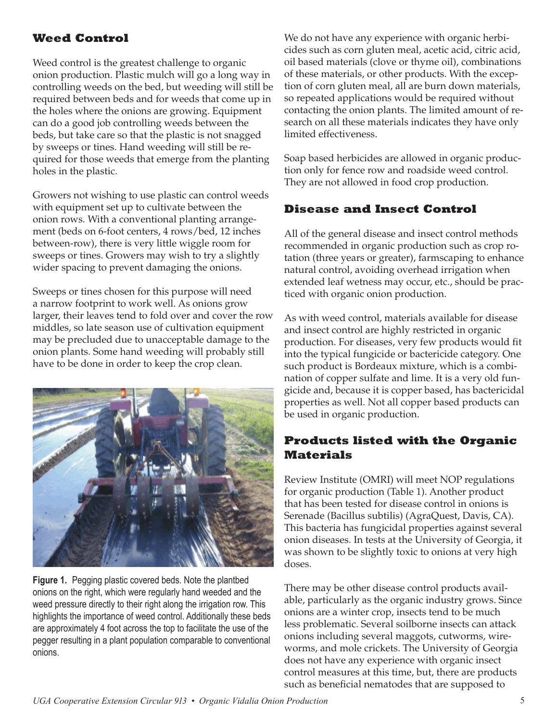### **Weed Control**

Weed control is the greatest challenge to organic onion production. Plastic mulch will go a long way in controlling weeds on the bed, but weeding will still be required between beds and for weeds that come up in the holes where the onions are growing. Equipment can do a good job controlling weeds between the beds, but take care so that the plastic is not snagged by sweeps or tines. Hand weeding will still be required for those weeds that emerge from the planting holes in the plastic.

Growers not wishing to use plastic can control weeds with equipment set up to cultivate between the onion rows. With a conventional planting arrangement (beds on 6-foot centers, 4 rows/bed, 12 inches between-row), there is very little wiggle room for sweeps or tines. Growers may wish to try a slightly wider spacing to prevent damaging the onions.

Sweeps or tines chosen for this purpose will need a narrow footprint to work well. As onions grow larger, their leaves tend to fold over and cover the row middles, so late season use of cultivation equipment may be precluded due to unacceptable damage to the onion plants. Some hand weeding will probably still have to be done in order to keep the crop clean.



**Figure 1.** Pegging plastic covered beds. Note the plantbed onions on the right, which were regularly hand weeded and the weed pressure directly to their right along the irrigation row. This highlights the importance of weed control. Additionally these beds are approximately 4 foot across the top to facilitate the use of the pegger resulting in a plant population comparable to conventional onions.

We do not have any experience with organic herbicides such as corn gluten meal, acetic acid, citric acid, oil based materials (clove or thyme oil), combinations of these materials, or other products. With the exception of corn gluten meal, all are burn down materials, so repeated applications would be required without contacting the onion plants. The limited amount of research on all these materials indicates they have only limited effectiveness.

Soap based herbicides are allowed in organic production only for fence row and roadside weed control. They are not allowed in food crop production.

#### **Disease and Insect Control**

All of the general disease and insect control methods recommended in organic production such as crop rotation (three years or greater), farmscaping to enhance natural control, avoiding overhead irrigation when extended leaf wetness may occur, etc., should be practiced with organic onion production.

As with weed control, materials available for disease and insect control are highly restricted in organic production. For diseases, very few products would fit into the typical fungicide or bactericide category. One such product is Bordeaux mixture, which is a combination of copper sulfate and lime. It is a very old fungicide and, because it is copper based, has bactericidal properties as well. Not all copper based products can be used in organic production.

#### **Products listed with the Organic Materials**

Review Institute (OMRI) will meet NOP regulations for organic production (Table 1). Another product that has been tested for disease control in onions is Serenade (Bacillus subtilis) (AgraQuest, Davis, CA). This bacteria has fungicidal properties against several onion diseases. In tests at the University of Georgia, it was shown to be slightly toxic to onions at very high doses.

There may be other disease control products available, particularly as the organic industry grows. Since onions are a winter crop, insects tend to be much less problematic. Several soilborne insects can attack onions including several maggots, cutworms, wireworms, and mole crickets. The University of Georgia does not have any experience with organic insect control measures at this time, but, there are products such as beneficial nematodes that are supposed to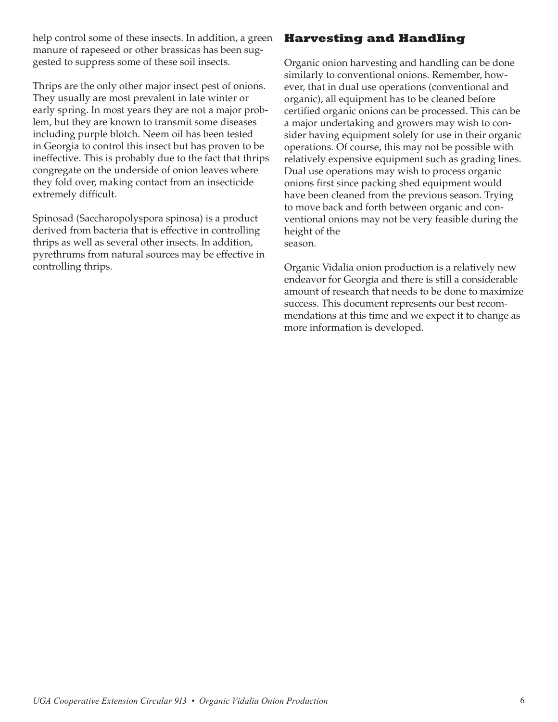help control some of these insects. In addition, a green manure of rapeseed or other brassicas has been suggested to suppress some of these soil insects.

Thrips are the only other major insect pest of onions. They usually are most prevalent in late winter or early spring. In most years they are not a major problem, but they are known to transmit some diseases including purple blotch. Neem oil has been tested in Georgia to control this insect but has proven to be ineffective. This is probably due to the fact that thrips congregate on the underside of onion leaves where they fold over, making contact from an insecticide extremely difficult.

Spinosad (Saccharopolyspora spinosa) is a product derived from bacteria that is effective in controlling thrips as well as several other insects. In addition, pyrethrums from natural sources may be effective in controlling thrips.

#### **Harvesting and Handling**

Organic onion harvesting and handling can be done similarly to conventional onions. Remember, however, that in dual use operations (conventional and organic), all equipment has to be cleaned before certified organic onions can be processed. This can be a major undertaking and growers may wish to consider having equipment solely for use in their organic operations. Of course, this may not be possible with relatively expensive equipment such as grading lines. Dual use operations may wish to process organic onions first since packing shed equipment would have been cleaned from the previous season. Trying to move back and forth between organic and conventional onions may not be very feasible during the height of the season.

Organic Vidalia onion production is a relatively new endeavor for Georgia and there is still a considerable amount of research that needs to be done to maximize success. This document represents our best recommendations at this time and we expect it to change as more information is developed.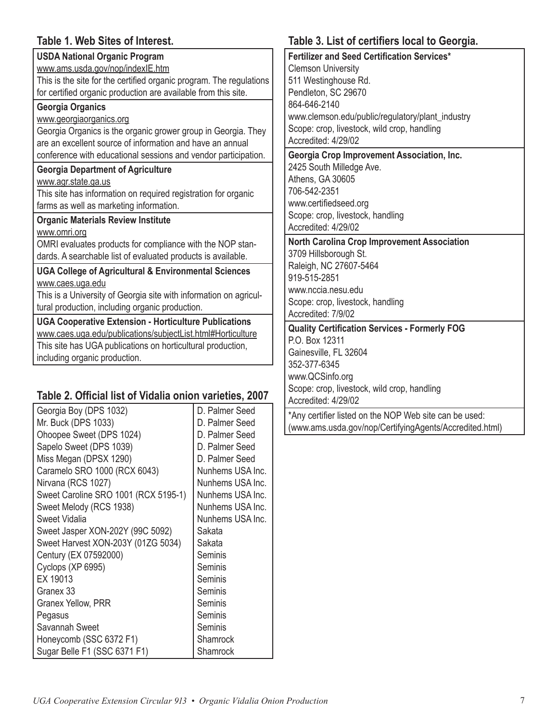#### **Table 1. Web Sites of Interest.**

| <b>USDA National Organic Program</b>                                |
|---------------------------------------------------------------------|
| www.ams.usda.gov/nop/indexlE.htm                                    |
| This is the site for the certified organic program. The regulations |
| for certified organic production are available from this site.      |
| <b>Georgia Organics</b>                                             |
| www.georgiaorganics.org                                             |
| Georgia Organics is the organic grower group in Georgia. They       |
| are an excellent source of information and have an annual           |
| conference with educational sessions and vendor participation.      |
| <b>Georgia Department of Agriculture</b>                            |
| www.agr.state.ga.us                                                 |
| This site has information on required registration for organic      |
| farms as well as marketing information.                             |
| <b>Organic Materials Review Institute</b>                           |
| www.omri.org                                                        |
| OMRI evaluates products for compliance with the NOP stan-           |
| dards. A searchable list of evaluated products is available.        |
| <b>UGA College of Agricultural &amp; Environmental Sciences</b>     |
| www.caes.uga.edu                                                    |
| This is a University of Georgia site with information on agricul-   |
| tural production, including organic production.                     |
| <b>UGA Cooperative Extension - Horticulture Publications</b>        |
| www.caes.uga.edu/publications/subjectList.html#Horticulture         |
| This site has UGA publications on horticultural production,         |
|                                                                     |

#### **Table 2. Official list of Vidalia onion varieties, 2007**

| Georgia Boy (DPS 1032)               | D. Palmer Seed   |
|--------------------------------------|------------------|
| Mr. Buck (DPS 1033)                  | D. Palmer Seed   |
| Ohoopee Sweet (DPS 1024)             | D. Palmer Seed   |
| Sapelo Sweet (DPS 1039)              | D. Palmer Seed   |
| Miss Megan (DPSX 1290)               | D. Palmer Seed   |
| Caramelo SRO 1000 (RCX 6043)         | Nunhems USA Inc. |
| Nirvana (RCS 1027)                   | Nunhems USA Inc. |
| Sweet Caroline SRO 1001 (RCX 5195-1) | Nunhems USA Inc. |
| Sweet Melody (RCS 1938)              | Nunhems USA Inc. |
| <b>Sweet Vidalia</b>                 | Nunhems USA Inc. |
| Sweet Jasper XON-202Y (99C 5092)     | Sakata           |
| Sweet Harvest XON-203Y (01ZG 5034)   | Sakata           |
| Century (EX 07592000)                | Seminis          |
| Cyclops (XP 6995)                    | Seminis          |
| EX 19013                             | Seminis          |
| Granex 33                            | Seminis          |
| Granex Yellow, PRR                   | Seminis          |
| Pegasus                              | Seminis          |
| Savannah Sweet                       | Seminis          |
| Honeycomb (SSC 6372 F1)              | Shamrock         |
| Sugar Belle F1 (SSC 6371 F1)         | Shamrock         |

## **Table 3. List of certifiers local to Georgia.**

**Fertilizer and Seed Certification Services\***  lemson University 1 Westinghouse Rd. endleton, SC 29670 864-646-2140 ww.clemson.edu/public/regulatory/plant\_industry cope: crop, livestock, wild crop, handling ccredited: 4/29/02

#### **Georgia Crop Improvement Association, Inc.**

125 South Milledge Ave. thens, GA 30605 706-542-2351 ww.certifiedseed.org cope: crop, livestock, handling ccredited: 4/29/02

#### **North Carolina Crop Improvement Association**

3709 Hillsborough St. aleigh, NC 27607-5464 919-515-2851 www.nccia.nesu.edu cope: crop, livestock, handling ccredited: 7/9/02

#### **Quality Certification Services - Formerly FOG** 0. Box 12311 ainesville, FL 32604

352-377-6345 www.QCSinfo.org Scope: crop, livestock, wild crop, handling Accredited: 4/29/02

\*Any certifier listed on the NOP Web site can be used: (www.ams.usda.gov/nop/CertifyingAgents/Accredited.html)